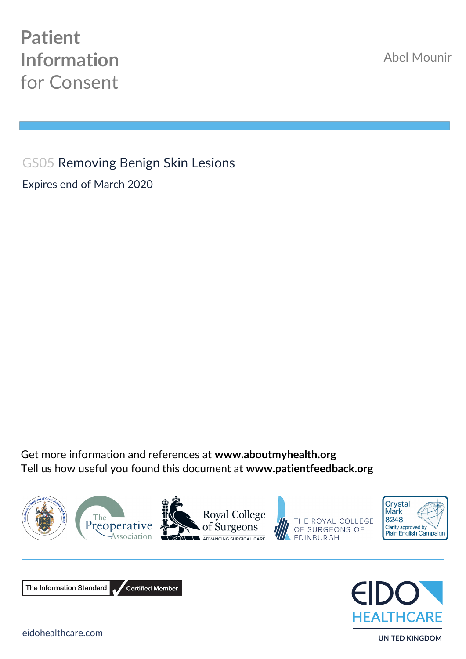# **Patient Information**  for Consent

Abel Mounir

GS05 Removing Benign Skin Lesions Expires end of March 2020

Get more information and references at **www.aboutmyhealth.org** Tell us how useful you found this document at **www.patientfeedback.org**







#### eidohealthcare.com

**UNITED KINGDOM**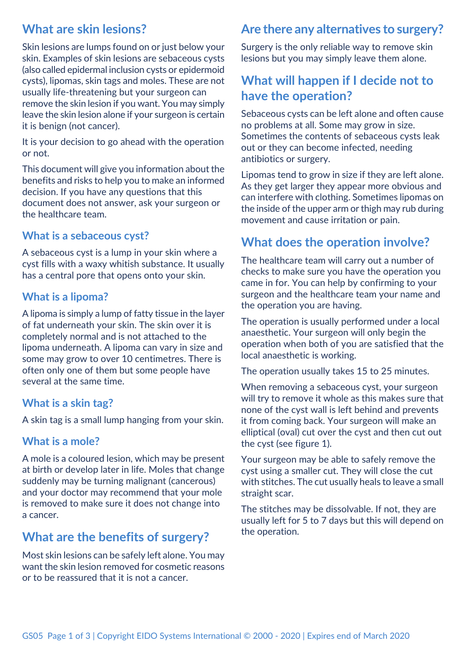### **What are skin lesions?**

Skin lesions are lumps found on or just below your skin. Examples of skin lesions are sebaceous cysts (also called epidermal inclusion cysts or epidermoid cysts), lipomas, skin tags and moles. These are not usually life-threatening but your surgeon can remove the skin lesion if you want. You may simply leave the skin lesion alone if your surgeon is certain it is benign (not cancer).

It is your decision to go ahead with the operation or not.

This document will give you information about the benefits and risks to help you to make an informed decision. If you have any questions that this document does not answer, ask your surgeon or the healthcare team.

#### **What is a sebaceous cyst?**

A sebaceous cyst is a lump in your skin where a cyst fills with a waxy whitish substance. It usually has a central pore that opens onto your skin.

### **What is a lipoma?**

A lipoma is simply a lump of fatty tissue in the layer of fat underneath your skin. The skin over it is completely normal and is not attached to the lipoma underneath. A lipoma can vary in size and some may grow to over 10 centimetres. There is often only one of them but some people have several at the same time.

### **What is a skin tag?**

A skin tag is a small lump hanging from your skin.

#### **What is a mole?**

A mole is a coloured lesion, which may be present at birth or develop later in life. Moles that change suddenly may be turning malignant (cancerous) and your doctor may recommend that your mole is removed to make sure it does not change into a cancer.

### **What are the benefits of surgery?**

Most skin lesions can be safely left alone. You may want the skin lesion removed for cosmetic reasons or to be reassured that it is not a cancer.

## **Are there any alternatives to surgery?**

Surgery is the only reliable way to remove skin lesions but you may simply leave them alone.

### **What will happen if I decide not to have the operation?**

Sebaceous cysts can be left alone and often cause no problems at all. Some may grow in size. Sometimes the contents of sebaceous cysts leak out or they can become infected, needing antibiotics or surgery.

Lipomas tend to grow in size if they are left alone. As they get larger they appear more obvious and can interfere with clothing. Sometimes lipomas on the inside of the upper arm or thigh may rub during movement and cause irritation or pain.

### **What does the operation involve?**

The healthcare team will carry out a number of checks to make sure you have the operation you came in for. You can help by confirming to your surgeon and the healthcare team your name and the operation you are having.

The operation is usually performed under a local anaesthetic. Your surgeon will only begin the operation when both of you are satisfied that the local anaesthetic is working.

The operation usually takes 15 to 25 minutes.

When removing a sebaceous cyst, your surgeon will try to remove it whole as this makes sure that none of the cyst wall is left behind and prevents it from coming back. Your surgeon will make an elliptical (oval) cut over the cyst and then cut out the cyst (see figure 1).

Your surgeon may be able to safely remove the cyst using a smaller cut. They will close the cut with stitches. The cut usually heals to leave a small straight scar.

The stitches may be dissolvable. If not, they are usually left for 5 to 7 days but this will depend on the operation.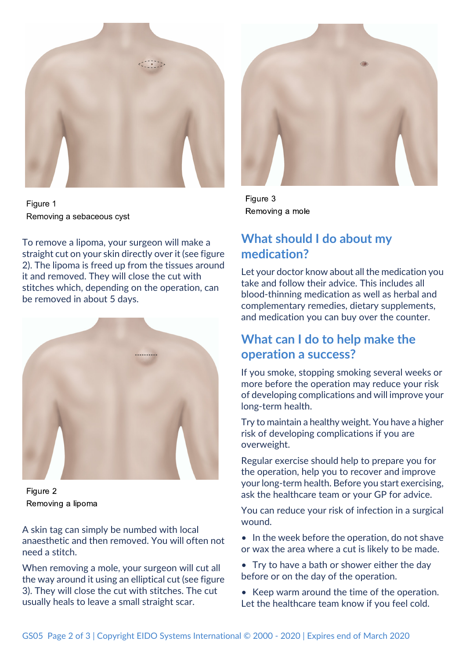

Figure 1 Removing a sebaceous cyst

To remove a lipoma, your surgeon will make a straight cut on your skin directly over it (see figure 2). The lipoma is freed up from the tissues around it and removed. They will close the cut with stitches which, depending on the operation, can be removed in about 5 days.



Figure 2 Removing a lipoma

A skin tag can simply be numbed with local anaesthetic and then removed. You will often not need a stitch.

When removing a mole, your surgeon will cut all the way around it using an elliptical cut (see figure 3). They will close the cut with stitches. The cut usually heals to leave a small straight scar.



Figure 3 Removing a mole

# **What should I do about my medication?**

Let your doctor know about all the medication you take and follow their advice. This includes all blood-thinning medication as well as herbal and complementary remedies, dietary supplements, and medication you can buy over the counter.

## **What can I do to help make the operation a success?**

If you smoke, stopping smoking several weeks or more before the operation may reduce your risk of developing complications and will improve your long-term health.

Try to maintain a healthy weight. You have a higher risk of developing complications if you are overweight.

Regular exercise should help to prepare you for the operation, help you to recover and improve your long-term health. Before you start exercising, ask the healthcare team or your GP for advice.

You can reduce your risk of infection in a surgical wound.

- In the week before the operation, do not shave or wax the area where a cut is likely to be made.
- Try to have a bath or shower either the day before or on the day of the operation.
- Keep warm around the time of the operation. Let the healthcare team know if you feel cold.